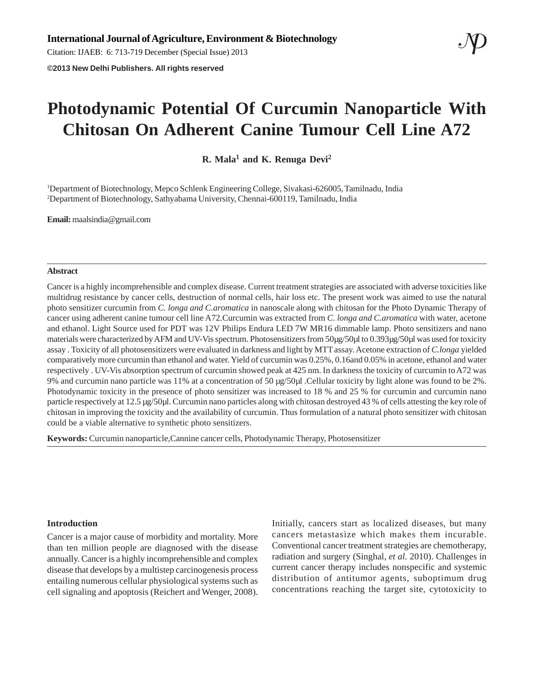Citation: IJAEB: 6: 713-719 December (Special Issue) 2013

**©2013 New Delhi Publishers. All rights reserved**

# **Photodynamic Potential Of Curcumin Nanoparticle With Chitosan On Adherent Canine Tumour Cell Line A72**

**R. Mala1 and K. Renuga Devi2**

1 Department of Biotechnology, Mepco Schlenk Engineering College, Sivakasi-626005, Tamilnadu, India 2 Department of Biotechnology, Sathyabama University, Chennai-600119, Tamilnadu, India

**Email:** maalsindia@gmail.com

#### **Abstract**

Cancer is a highly incomprehensible and complex disease. Current treatment strategies are associated with adverse toxicities like multidrug resistance by cancer cells, destruction of normal cells, hair loss etc. The present work was aimed to use the natural photo sensitizer curcumin from *C. longa and C.aromatica* in nanoscale along with chitosan for the Photo Dynamic Therapy of cancer using adherent canine tumour cell line A72.Curcumin was extracted from *C. longa and C.aromatica* with water, acetone and ethanol. Light Source used for PDT was 12V Philips Endura LED 7W MR16 dimmable lamp. Photo sensitizers and nano materials were characterized by AFM and UV-Vis spectrum. Photosensitizers from 50µg/50µl to 0.393µg/50µl was used for toxicity assay . Toxicity of all photosensitizers were evaluated in darkness and light by MTT assay. Acetone extraction of *C.longa* yielded comparatively more curcumin than ethanol and water. Yield of curcumin was 0.25%, 0.16and 0.05% in acetone, ethanol and water respectively . UV-Vis absorption spectrum of curcumin showed peak at 425 nm. In darkness the toxicity of curcumin to A72 was 9% and curcumin nano particle was 11% at a concentration of 50 µg/50µl .Cellular toxicity by light alone was found to be 2%. Photodynamic toxicity in the presence of photo sensitizer was increased to 18 % and 25 % for curcumin and curcumin nano particle respectively at 12.5 µg/50µl. Curcumin nano particles along with chitosan destroyed 43 % of cells attesting the key role of chitosan in improving the toxicity and the availability of curcumin. Thus formulation of a natural photo sensitizer with chitosan could be a viable alternative to synthetic photo sensitizers.

**Keywords:** Curcumin nanoparticle,Cannine cancer cells, Photodynamic Therapy, Photosensitizer

# **Introduction**

Cancer is a major cause of morbidity and mortality. More than ten million people are diagnosed with the disease annually. Cancer is a highly incomprehensible and complex disease that develops by a multistep carcinogenesis process entailing numerous cellular physiological systems such as cell signaling and apoptosis (Reichert and Wenger, 2008).

Initially, cancers start as localized diseases, but many cancers metastasize which makes them incurable. Conventional cancer treatment strategies are chemotherapy, radiation and surgery (Singhal, *et al.* 2010). Challenges in current cancer therapy includes nonspecific and systemic distribution of antitumor agents, suboptimum drug concentrations reaching the target site, cytotoxicity to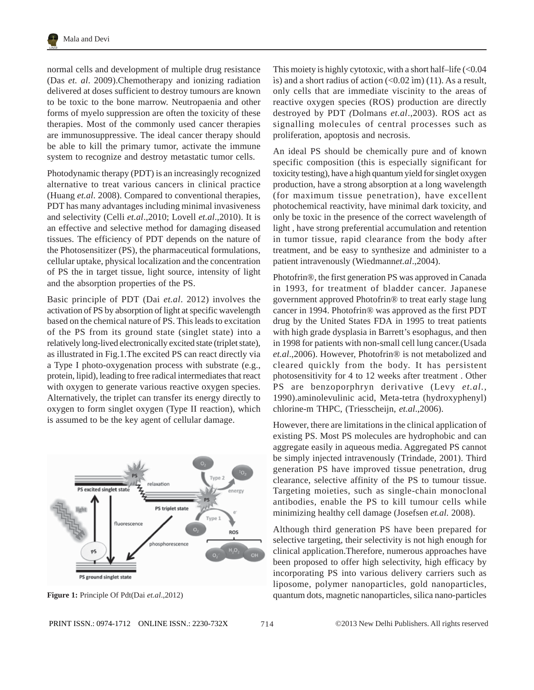normal cells and development of multiple drug resistance (Das *et. al*. 2009).Chemotherapy and ionizing radiation delivered at doses sufficient to destroy tumours are known to be toxic to the bone marrow. Neutropaenia and other forms of myelo suppression are often the toxicity of these therapies. Most of the commonly used cancer therapies are immunosuppressive. The ideal cancer therapy should be able to kill the primary tumor, activate the immune system to recognize and destroy metastatic tumor cells.

Photodynamic therapy (PDT) is an increasingly recognized alternative to treat various cancers in clinical practice (Huang *et.al*. 2008). Compared to conventional therapies, PDT has many advantages including minimal invasiveness and selectivity (Celli *et.al*.,2010; Lovell *et.al*.,2010). It is an effective and selective method for damaging diseased tissues. The efficiency of PDT depends on the nature of the Photosensitizer (PS), the pharmaceutical formulations, cellular uptake, physical localization and the concentration of PS the in target tissue, light source, intensity of light and the absorption properties of the PS.

Basic principle of PDT (Dai *et.al*. 2012) involves the activation of PS by absorption of light at specific wavelength based on the chemical nature of PS. This leads to excitation of the PS from its ground state (singlet state) into a relatively long-lived electronically excited state (triplet state), as illustrated in Fig.1.The excited PS can react directly via a Type I photo-oxygenation process with substrate (e.g., protein, lipid), leading to free radical intermediates that react with oxygen to generate various reactive oxygen species. Alternatively, the triplet can transfer its energy directly to oxygen to form singlet oxygen (Type II reaction), which is assumed to be the key agent of cellular damage.



714

This moiety is highly cytotoxic, with a short half–life  $\langle$  <0.04 is) and a short radius of action  $\left($ <0.02 im) (11). As a result, only cells that are immediate viscinity to the areas of reactive oxygen species (ROS) production are directly destroyed by PDT *(*Dolmans *et.al*.,2003). ROS act as signalling molecules of central processes such as proliferation, apoptosis and necrosis.

An ideal PS should be chemically pure and of known specific composition (this is especially significant for toxicity testing), have a high quantum yield for singlet oxygen production, have a strong absorption at a long wavelength (for maximum tissue penetration), have excellent photochemical reactivity, have minimal dark toxicity, and only be toxic in the presence of the correct wavelength of light , have strong preferential accumulation and retention in tumor tissue, rapid clearance from the body after treatment, and be easy to synthesize and administer to a patient intravenously (Wiedmann*et.al*.,2004).

Photofrin®, the first generation PS was approved in Canada in 1993, for treatment of bladder cancer. Japanese government approved Photofrin® to treat early stage lung cancer in 1994. Photofrin® was approved as the first PDT drug by the United States FDA in 1995 to treat patients with high grade dysplasia in Barrett's esophagus, and then in 1998 for patients with non-small cell lung cancer.(Usada *et.al*.,2006). However, Photofrin® is not metabolized and cleared quickly from the body. It has persistent photosensitivity for 4 to 12 weeks after treatment . Other PS are benzoporphryn derivative (Levy *et.al.,* 1990).aminolevulinic acid, Meta-tetra (hydroxyphenyl) chlorine-m THPC, (Triesscheijn, *et.al*.,2006).

However, there are limitations in the clinical application of existing PS. Most PS molecules are hydrophobic and can aggregate easily in aqueous media. Aggregated PS cannot be simply injected intravenously (Trindade, 2001). Third generation PS have improved tissue penetration, drug clearance, selective affinity of the PS to tumour tissue. Targeting moieties, such as single-chain monoclonal antibodies, enable the PS to kill tumour cells while minimizing healthy cell damage (Josefsen *et.al.* 2008).

Although third generation PS have been prepared for selective targeting, their selectivity is not high enough for clinical application.Therefore, numerous approaches have been proposed to offer high selectivity, high efficacy by incorporating PS into various delivery carriers such as liposome, polymer nanoparticles, gold nanoparticles, **Figure 1:** Principle Of Pdt(Dai *et.al*.,2012) quantum dots, magnetic nanoparticles, silica nano-particles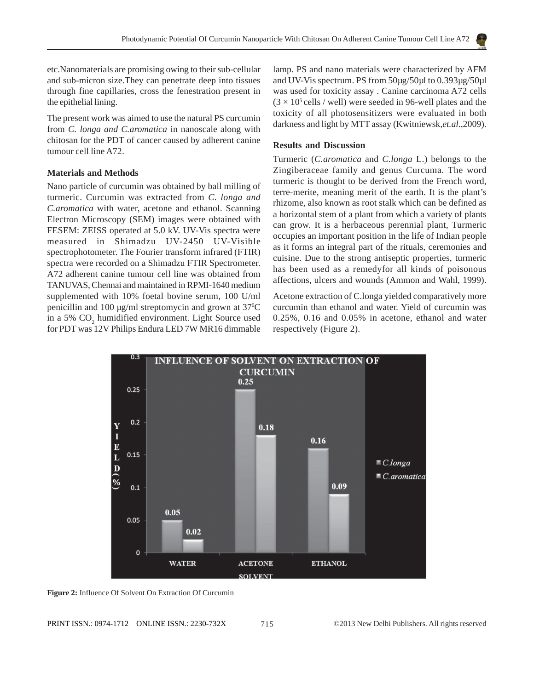etc.Nanomaterials are promising owing to their sub-cellular and sub-micron size.They can penetrate deep into tissues through fine capillaries, cross the fenestration present in the epithelial lining.

The present work was aimed to use the natural PS curcumin from *C. longa and C.aromatica* in nanoscale along with chitosan for the PDT of cancer caused by adherent canine tumour cell line A72.

## **Materials and Methods**

Nano particle of curcumin was obtained by ball milling of turmeric. Curcumin was extracted from *C. longa and C.aromatica* with water, acetone and ethanol. Scanning Electron Microscopy (SEM) images were obtained with FESEM: ZEISS operated at 5.0 kV. UV-Vis spectra were measured in Shimadzu UV-2450 UV-Visible spectrophotometer. The Fourier transform infrared (FTIR) spectra were recorded on a Shimadzu FTIR Spectrometer. A72 adherent canine tumour cell line was obtained from TANUVAS, Chennai and maintained in RPMI-1640 medium supplemented with 10% foetal bovine serum, 100 U/ml penicillin and 100 µg/ml streptomycin and grown at 370 C in a 5%  $CO<sub>2</sub>$  humidified environment. Light Source used for PDT was 12V Philips Endura LED 7W MR16 dimmable lamp. PS and nano materials were characterized by AFM and UV-Vis spectrum. PS from 50µg/50µl to 0.393µg/50µl was used for toxicity assay . Canine carcinoma A72 cells  $(3 \times 10^5 \text{ cells} / \text{well})$  were seeded in 96-well plates and the toxicity of all photosensitizers were evaluated in both darkness and light by MTT assay (Kwitniewsk,*et.al*.,2009).

### **Results and Discussion**

Turmeric (*C.aromatica* and *C.longa* L.) belongs to the Zingiberaceae family and genus Curcuma. The word turmeric is thought to be derived from the French word, terre-merite, meaning merit of the earth. It is the plant's rhizome, also known as root stalk which can be defined as a horizontal stem of a plant from which a variety of plants can grow. It is a herbaceous perennial plant, Turmeric occupies an important position in the life of Indian people as it forms an integral part of the rituals, ceremonies and cuisine. Due to the strong antiseptic properties, turmeric has been used as a remedyfor all kinds of poisonous affections, ulcers and wounds (Ammon and Wahl, 1999).

Acetone extraction of C.longa yielded comparatively more curcumin than ethanol and water. Yield of curcumin was 0.25%, 0.16 and 0.05% in acetone, ethanol and water respectively (Figure 2).



**Figure 2:** Influence Of Solvent On Extraction Of Curcumin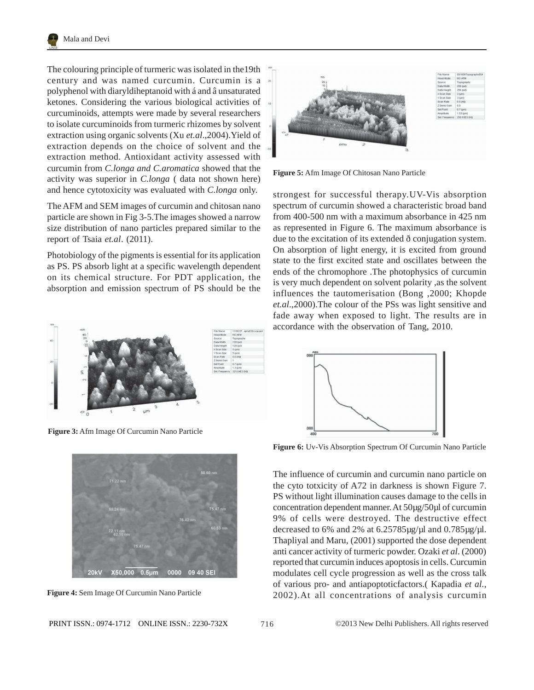

The colouring principle of turmeric was isolated in the19th century and was named curcumin. Curcumin is a polyphenol with diaryldiheptanoid with á and â unsaturated ketones. Considering the various biological activities of curcuminoids, attempts were made by several researchers to isolate curcuminoids from turmeric rhizomes by solvent extraction using organic solvents (Xu *et.al*.,2004).Yield of extraction depends on the choice of solvent and the extraction method. Antioxidant activity assessed with curcumin from *C.longa and C.aromatica* showed that the activity was superior in *C.longa* ( data not shown here) and hence cytotoxicity was evaluated with *C.longa* only.

The AFM and SEM images of curcumin and chitosan nano particle are shown in Fig 3-5.The images showed a narrow size distribution of nano particles prepared similar to the report of Tsaia *et.al*. (2011).

Photobiology of the pigments is essential for its application as PS. PS absorb light at a specific wavelength dependent on its chemical structure. For PDT application, the absorption and emission spectrum of PS should be the



**Figure 3:** Afm Image Of Curcumin Nano Particle







**Figure 5:** Afm Image Of Chitosan Nano Particle

strongest for successful therapy.UV-Vis absorption spectrum of curcumin showed a characteristic broad band from 400-500 nm with a maximum absorbance in 425 nm as represented in Figure 6. The maximum absorbance is due to the excitation of its extended ð conjugation system. On absorption of light energy, it is excited from ground state to the first excited state and oscillates between the ends of the chromophore .The photophysics of curcumin is very much dependent on solvent polarity ,as the solvent influences the tautomerisation (Bong ,2000; Khopde *et.al*.,2000).The colour of the PSs was light sensitive and fade away when exposed to light. The results are in accordance with the observation of Tang, 2010.



**Figure 6:** Uv-Vis Absorption Spectrum Of Curcumin Nano Particle

The influence of curcumin and curcumin nano particle on the cyto totxicity of A72 in darkness is shown Figure 7. PS without light illumination causes damage to the cells in concentration dependent manner. At 50µg/50µl of curcumin 9% of cells were destroyed. The destructive effect decreased to 6% and 2% at 6.25785µg/µl and 0.785µg/µl. Thapliyal and Maru, (2001) supported the dose dependent anti cancer activity of turmeric powder. Ozaki *et al*. (2000) reported that curcumin induces apoptosis in cells. Curcumin modulates cell cycle progression as well as the cross talk of various pro- and antiapoptoticfactors.( Kapadia *et al.,* 2002).At all concentrations of analysis curcumin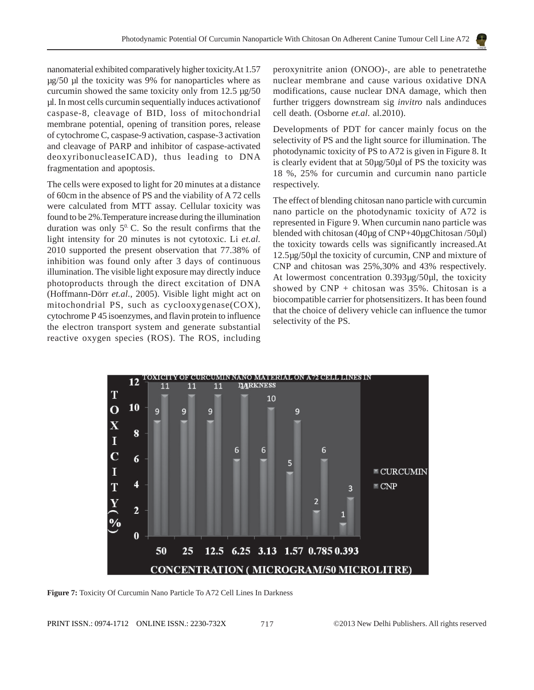nanomaterial exhibited comparatively higher toxicity.At 1.57 µg/50 µl the toxicity was 9% for nanoparticles where as curcumin showed the same toxicity only from 12.5 µg/50 µl. In most cells curcumin sequentially induces activationof caspase-8, cleavage of BID, loss of mitochondrial membrane potential, opening of transition pores, release of cytochrome C, caspase-9 activation, caspase-3 activation and cleavage of PARP and inhibitor of caspase-activated deoxyribonucleaseICAD), thus leading to DNA fragmentation and apoptosis.

The cells were exposed to light for 20 minutes at a distance of 60cm in the absence of PS and the viability of A 72 cells were calculated from MTT assay. Cellular toxicity was found to be 2%.Temperature increase during the illumination duration was only  $5^0$ . C. So the result confirms that the light intensity for 20 minutes is not cytotoxic. Li *et.al.* 2010 supported the present observation that 77.38% of inhibition was found only after 3 days of continuous illumination. The visible light exposure may directly induce photoproducts through the direct excitation of DNA (Hoffmann-Dörr *et.al*., 2005). Visible light might act on mitochondrial PS, such as cyclooxygenase(COX), cytochrome P 45 isoenzymes, and flavin protein to influence the electron transport system and generate substantial reactive oxygen species (ROS). The ROS, including peroxynitrite anion (ONOO)-, are able to penetratethe nuclear membrane and cause various oxidative DNA modifications, cause nuclear DNA damage, which then further triggers downstream sig *invitro* nals andinduces cell death. (Osborne *et.al*. al.2010).

Developments of PDT for cancer mainly focus on the selectivity of PS and the light source for illumination. The photodynamic toxicity of PS to A72 is given in Figure 8. It is clearly evident that at 50µg/50µl of PS the toxicity was 18 %, 25% for curcumin and curcumin nano particle respectively.

The effect of blending chitosan nano particle with curcumin nano particle on the photodynamic toxicity of A72 is represented in Figure 9. When curcumin nano particle was blended with chitosan (40µg of CNP+40µgChitosan /50µl) the toxicity towards cells was significantly increased.At 12.5µg/50µl the toxicity of curcumin, CNP and mixture of CNP and chitosan was 25%,30% and 43% respectively. At lowermost concentration 0.393µg/50µl, the toxicity showed by  $CNP + chi$ tosan was 35%. Chitosan is a biocompatible carrier for photsensitizers. It has been found that the choice of delivery vehicle can influence the tumor selectivity of the PS.



**Figure 7:** Toxicity Of Curcumin Nano Particle To A72 Cell Lines In Darkness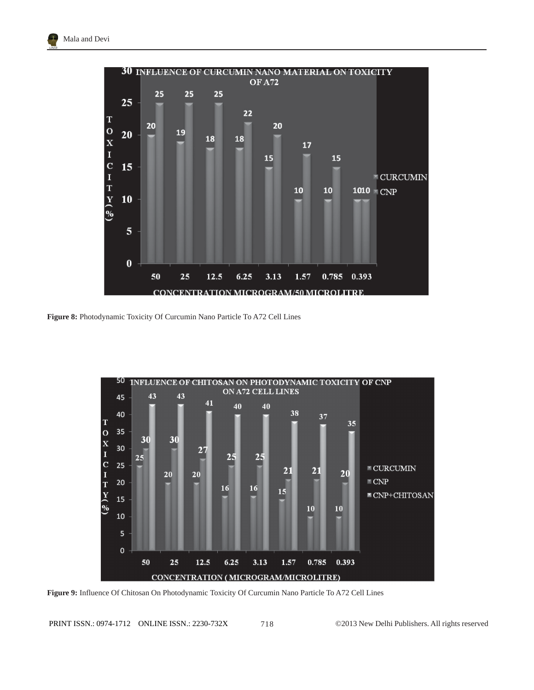

**Figure 8:** Photodynamic Toxicity Of Curcumin Nano Particle To A72 Cell Lines



**Figure 9:** Influence Of Chitosan On Photodynamic Toxicity Of Curcumin Nano Particle To A72 Cell Lines

PRINT ISSN.: 0974-1712 ONLINE ISSN.: 2230-732X ©2013 New Delhi Publishers. All rights reserved